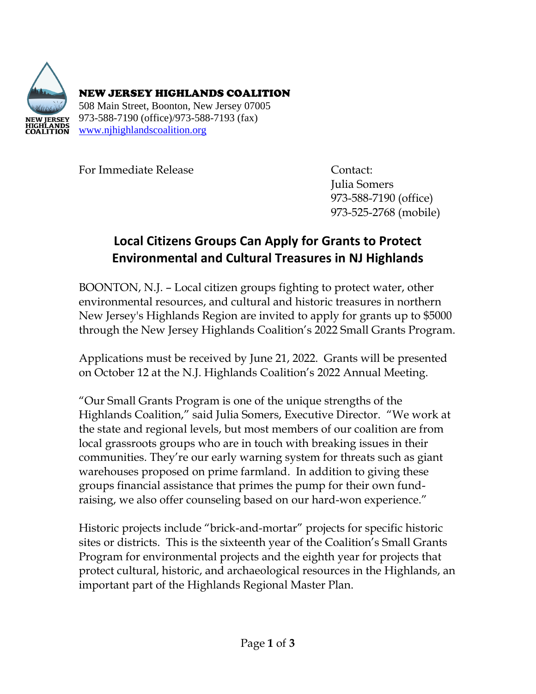

NEW JERSEY HIGHLANDS COALITION 508 Main Street, Boonton, New Jersey 07005 973-588-7190 (office)/973-588-7193 (fax) [www.njhighlandscoalition.org](about:blank)

For Immediate Release **Contact:** 

Julia Somers 973-588-7190 (office) 973-525-2768 (mobile)

## **Local Citizens Groups Can Apply for Grants to Protect Environmental and Cultural Treasures in NJ Highlands**

BOONTON, N.J. – Local citizen groups fighting to protect water, other environmental resources, and cultural and historic treasures in northern New Jersey's Highlands Region are invited to apply for grants up to \$5000 through the New Jersey Highlands Coalition's 2022 Small Grants Program.

Applications must be received by June 21, 2022. Grants will be presented on October 12 at the N.J. Highlands Coalition's 2022 Annual Meeting.

"Our Small Grants Program is one of the unique strengths of the Highlands Coalition," said Julia Somers, Executive Director. "We work at the state and regional levels, but most members of our coalition are from local grassroots groups who are in touch with breaking issues in their communities. They're our early warning system for threats such as giant warehouses proposed on prime farmland. In addition to giving these groups financial assistance that primes the pump for their own fundraising, we also offer counseling based on our hard-won experience."

Historic projects include "brick-and-mortar" projects for specific historic sites or districts. This is the sixteenth year of the Coalition's Small Grants Program for environmental projects and the eighth year for projects that protect cultural, historic, and archaeological resources in the Highlands, an important part of the Highlands Regional Master Plan.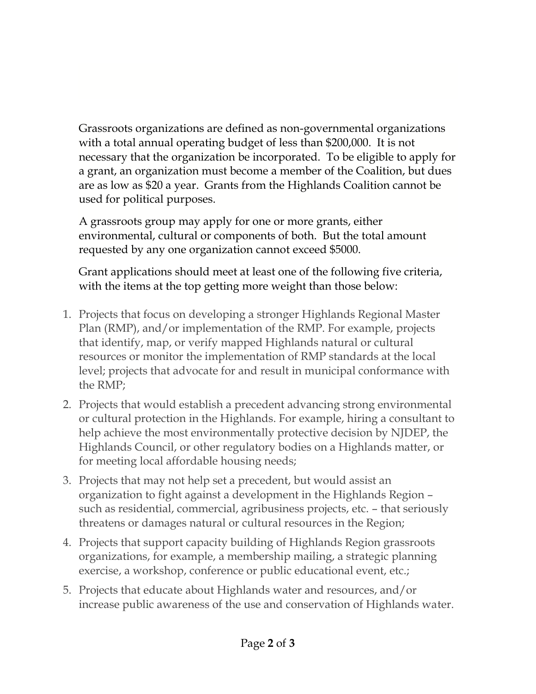Grassroots organizations are defined as non-governmental organizations with a total annual operating budget of less than \$200,000. It is not necessary that the organization be incorporated. To be eligible to apply for a grant, an organization must become a member of the Coalition, but dues are as low as \$20 a year. Grants from the Highlands Coalition cannot be used for political purposes.

A grassroots group may apply for one or more grants, either environmental, cultural or components of both. But the total amount requested by any one organization cannot exceed \$5000.

Grant applications should meet at least one of the following five criteria, with the items at the top getting more weight than those below:

- 1. Projects that focus on developing a stronger Highlands Regional Master Plan (RMP), and/or implementation of the RMP. For example, projects that identify, map, or verify mapped Highlands natural or cultural resources or monitor the implementation of RMP standards at the local level; projects that advocate for and result in municipal conformance with the RMP;
- 2. Projects that would establish a precedent advancing strong environmental or cultural protection in the Highlands. For example, hiring a consultant to help achieve the most environmentally protective decision by NJDEP, the Highlands Council, or other regulatory bodies on a Highlands matter, or for meeting local affordable housing needs;
- 3. Projects that may not help set a precedent, but would assist an organization to fight against a development in the Highlands Region – such as residential, commercial, agribusiness projects, etc. – that seriously threatens or damages natural or cultural resources in the Region;
- 4. Projects that support capacity building of Highlands Region grassroots organizations, for example, a membership mailing, a strategic planning exercise, a workshop, conference or public educational event, etc.;
- 5. Projects that educate about Highlands water and resources, and/or increase public awareness of the use and conservation of Highlands water.